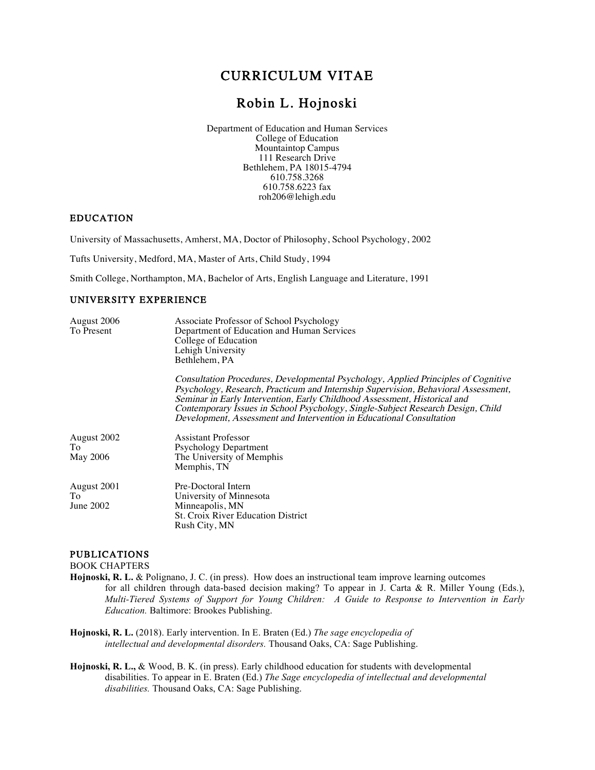# CURRICULUM VITAE

# Robin L. Hojnoski

 Department of Education and Human Services College of Education Mountaintop Campus 111 Research Drive Bethlehem, PA 18015-4794 610.758.3268 610.758.6223 fax roh206@lehigh.edu

## EDUCATION

University of Massachusetts, Amherst, MA, Doctor of Philosophy, School Psychology, 2002

Tufts University, Medford, MA, Master of Arts, Child Study, 1994

Smith College, Northampton, MA, Bachelor of Arts, English Language and Literature, 1991

# UNIVERSITY EXPERIENCE

| August 2006<br>To Present            | Associate Professor of School Psychology<br>Department of Education and Human Services<br>College of Education<br>Lehigh University<br>Bethlehem, PA                                                                                                                                                                                                                                                             |
|--------------------------------------|------------------------------------------------------------------------------------------------------------------------------------------------------------------------------------------------------------------------------------------------------------------------------------------------------------------------------------------------------------------------------------------------------------------|
|                                      | Consultation Procedures, Developmental Psychology, Applied Principles of Cognitive<br>Psychology, Research, Practicum and Internship Supervision, Behavioral Assessment,<br>Seminar in Early Intervention, Early Childhood Assessment, Historical and<br>Contemporary Issues in School Psychology, Single-Subject Research Design, Child<br>Development, Assessment and Intervention in Educational Consultation |
| August 2002<br>To<br><b>May 2006</b> | <b>Assistant Professor</b><br><b>Psychology Department</b><br>The University of Memphis<br>Memphis, TN                                                                                                                                                                                                                                                                                                           |
| August 2001<br>Tо<br>June 2002       | Pre-Doctoral Intern<br>University of Minnesota<br>Minneapolis, MN<br><b>St. Croix River Education District</b><br>Rush City, MN                                                                                                                                                                                                                                                                                  |

# PUBLICATIONS

BOOK CHAPTERS

- **Hojnoski, R. L.** & Polignano, J. C. (in press). How does an instructional team improve learning outcomes for all children through data-based decision making? To appear in J. Carta & R. Miller Young (Eds.), *Multi-Tiered Systems of Support for Young Children: A Guide to Response to Intervention in Early Education.* Baltimore: Brookes Publishing.
- **Hojnoski, R. L.** (2018). Early intervention. In E. Braten (Ed.) *The sage encyclopedia of intellectual and developmental disorders.* Thousand Oaks, CA: Sage Publishing.
- **Hojnoski, R. L.,** & Wood, B. K. (in press). Early childhood education for students with developmental disabilities. To appear in E. Braten (Ed.) *The Sage encyclopedia of intellectual and developmental disabilities.* Thousand Oaks, CA: Sage Publishing.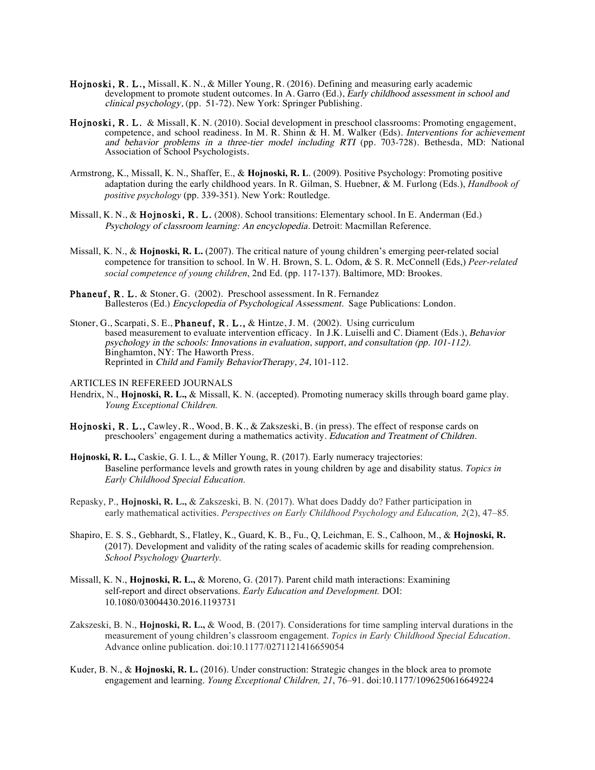- Hojnoski, R. L., Missall, K. N., & Miller Young, R. (2016). Defining and measuring early academic development to promote student outcomes. In  $\hat{A}$ . Garro (Ed.), Early childhood assessment in school and clinical psychology, (pp. 51-72). New York: Springer Publishing.
- Hojnoski, R. L. & Missall, K. N. (2010). Social development in preschool classrooms: Promoting engagement, competence, and school readiness. In M. R. Shinn & H. M. Walker (Eds). Interventions for achievement and behavior problems in a three-tier model including RTI (pp. 703-728). Bethesda, MD: National Association of School Psychologists.
- Armstrong, K., Missall, K. N., Shaffer, E., & **Hojnoski, R. L**. (2009). Positive Psychology: Promoting positive adaptation during the early childhood years. In R. Gilman, S. Huebner, & M. Furlong (Eds.), *Handbook of positive psychology* (pp. 339-351). New York: Routledge.
- Missall, K. N., & Hojnoski, R. L. (2008). School transitions: Elementary school. In E. Anderman (Ed.) Psychology of classroom learning: An encyclopedia. Detroit: Macmillan Reference.
- Missall, K. N., & **Hojnoski, R. L.** (2007). The critical nature of young children's emerging peer-related social competence for transition to school. In W. H. Brown, S. L. Odom, & S. R. McConnell (Eds,) *Peer-related social competence of young children*, 2nd Ed. (pp. 117-137). Baltimore, MD: Brookes.
- Phaneuf, R. L. & Stoner, G. (2002). Preschool assessment. In R. Fernandez Ballesteros (Ed.) Encyclopedia of Psychological Assessment. Sage Publications: London.
- Stoner, G., Scarpati, S. E., Phaneuf, R. L., & Hintze, J. M. (2002). Using curriculum based measurement to evaluate intervention efficacy. In J.K. Luiselli and C. Diament (Eds.), Behavior psychology in the schools: Innovations in evaluation, support, and consultation (pp. 101-112). Binghamton, NY: The Haworth Press. Reprinted in Child and Family BehaviorTherapy, 24, 101-112.
- ARTICLES IN REFEREED JOURNALS
- Hendrix, N., **Hojnoski, R. L.,** & Missall, K. N. (accepted). Promoting numeracy skills through board game play. *Young Exceptional Children.*
- Hojnoski, R. L., Cawley, R., Wood, B. K., & Zakszeski, B. (in press). The effect of response cards on preschoolers' engagement during a mathematics activity. Education and Treatment of Children.
- **Hojnoski, R. L.,** Caskie, G. I. L., & Miller Young, R. (2017). Early numeracy trajectories: Baseline performance levels and growth rates in young children by age and disability status. *Topics in Early Childhood Special Education.*
- Repasky, P., **Hojnoski, R. L.,** & Zakszeski, B. N. (2017). What does Daddy do? Father participation in early mathematical activities. *Perspectives on Early Childhood Psychology and Education, 2*(2), 47–85*.*
- Shapiro, E. S. S., Gebhardt, S., Flatley, K., Guard, K. B., Fu., Q, Leichman, E. S., Calhoon, M., & **Hojnoski, R.** (2017). Development and validity of the rating scales of academic skills for reading comprehension. *School Psychology Quarterly.*
- Missall, K. N., **Hojnoski, R. L.,** & Moreno, G. (2017). Parent child math interactions: Examining self-report and direct observations. *Early Education and Development.* DOI: 10.1080/03004430.2016.1193731
- Zakszeski, B. N., **Hojnoski, R. L.,** & Wood, B. (2017). Considerations for time sampling interval durations in the measurement of young children's classroom engagement. *Topics in Early Childhood Special Education*. Advance online publication. doi:10.1177/0271121416659054
- Kuder, B. N., & **Hojnoski, R. L.** (2016). Under construction: Strategic changes in the block area to promote engagement and learning. *Young Exceptional Children, 21*, 76–91. doi:10.1177/1096250616649224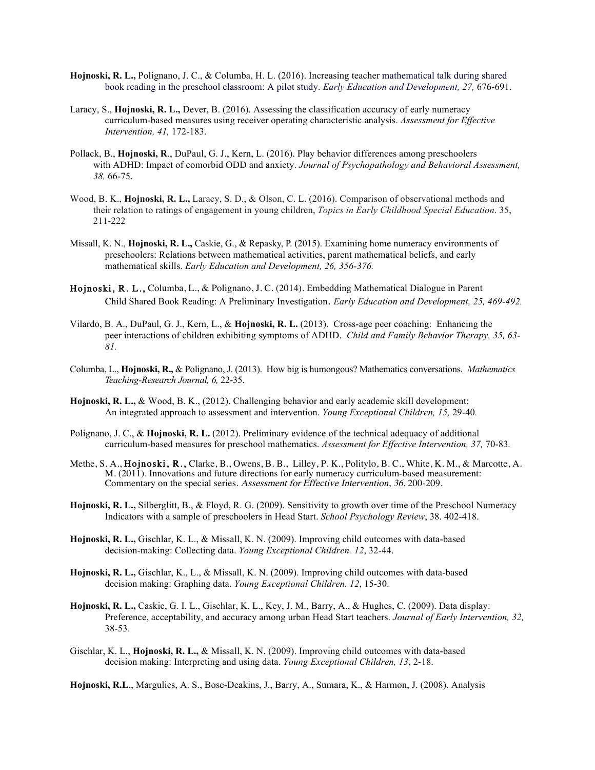- **Hojnoski, R. L.,** Polignano, J. C., & Columba, H. L. (2016). Increasing teacher mathematical talk during shared book reading in the preschool classroom: A pilot study. *Early Education and Development, 27,* 676-691.
- Laracy, S., **Hojnoski, R. L.,** Dever, B. (2016). Assessing the classification accuracy of early numeracy curriculum-based measures using receiver operating characteristic analysis. *Assessment for Effective Intervention, 41,* 172-183.
- Pollack, B., **Hojnoski, R**., DuPaul, G. J., Kern, L. (2016). Play behavior differences among preschoolers with ADHD: Impact of comorbid ODD and anxiety. *Journal of Psychopathology and Behavioral Assessment, 38,* 66-75.
- Wood, B. K., **Hojnoski, R. L.,** Laracy, S. D., & Olson, C. L. (2016). Comparison of observational methods and their relation to ratings of engagement in young children, *Topics in Early Childhood Special Education*. 35, 211-222
- Missall, K. N., **Hojnoski, R. L.,** Caskie, G., & Repasky, P. (2015). Examining home numeracy environments of preschoolers: Relations between mathematical activities, parent mathematical beliefs, and early mathematical skills. *Early Education and Development, 26, 356-376.*
- Hojnoski, R. L., Columba, L., & Polignano, J. C. (2014). Embedding Mathematical Dialogue in Parent Child Shared Book Reading: A Preliminary Investigation. *Early Education and Development, 25, 469-492.*
- Vilardo, B. A., DuPaul, G. J., Kern, L., & **Hojnoski, R. L.** (2013). Cross-age peer coaching: Enhancing the peer interactions of children exhibiting symptoms of ADHD. *Child and Family Behavior Therapy, 35, 63- 81.*
- Columba, L., **Hojnoski, R.,** & Polignano, J. (2013). How big is humongous? Mathematics conversations. *Mathematics Teaching-Research Journal, 6,* 22-35.
- **Hojnoski, R. L.,** & Wood, B. K., (2012). Challenging behavior and early academic skill development: An integrated approach to assessment and intervention. *Young Exceptional Children, 15,* 29-40*.*
- Polignano, J. C., & **Hojnoski, R. L.** (2012). Preliminary evidence of the technical adequacy of additional curriculum-based measures for preschool mathematics. *Assessment for Effective Intervention, 37,* 70-83*.*
- Methe, S. A., Hojnoski, R., Clarke, B., Owens, B. B., Lilley, P. K., Politylo, B. C., White, K. M., & Marcotte, A. M. (2011). Innovations and future directions for early numeracy curriculum-based measurement: Commentary on the special series. Assessment for Effective Intervention, 36, 200-209.
- **Hojnoski, R. L.,** Silberglitt, B., & Floyd, R. G. (2009). Sensitivity to growth over time of the Preschool Numeracy Indicators with a sample of preschoolers in Head Start. *School Psychology Review*, 38. 402-418.
- **Hojnoski, R. L.,** Gischlar, K. L., & Missall, K. N. (2009). Improving child outcomes with data-based decision-making: Collecting data. *Young Exceptional Children. 12*, 32-44.
- **Hojnoski, R. L.,** Gischlar, K., L., & Missall, K. N. (2009). Improving child outcomes with data-based decision making: Graphing data. *Young Exceptional Children. 12*, 15-30.
- **Hojnoski, R. L.,** Caskie, G. I. L., Gischlar, K. L., Key, J. M., Barry, A., & Hughes, C. (2009). Data display: Preference, acceptability, and accuracy among urban Head Start teachers. *Journal of Early Intervention, 32,*  38-53*.*
- Gischlar, K. L., **Hojnoski, R. L.,** & Missall, K. N. (2009). Improving child outcomes with data-based decision making: Interpreting and using data. *Young Exceptional Children, 13*, 2-18.

**Hojnoski, R.L**., Margulies, A. S., Bose-Deakins, J., Barry, A., Sumara, K., & Harmon, J. (2008). Analysis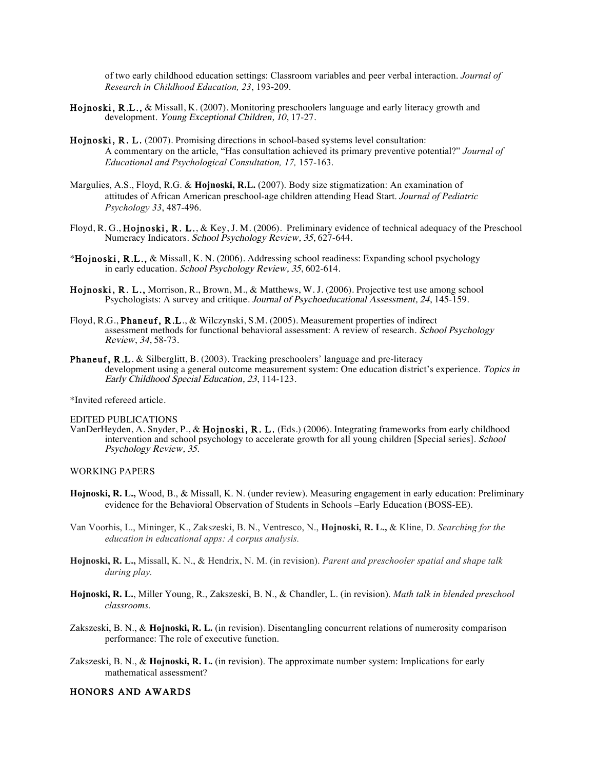of two early childhood education settings: Classroom variables and peer verbal interaction. *Journal of Research in Childhood Education, 23*, 193-209.

- Hojnoski, R.L., & Missall, K. (2007). Monitoring preschoolers language and early literacy growth and development. Young Exceptional Children, 10, 17-27.
- Hojnoski, R. L. (2007). Promising directions in school-based systems level consultation: A commentary on the article, "Has consultation achieved its primary preventive potential?" *Journal of Educational and Psychological Consultation, 17,* 157-163.
- Margulies, A.S., Floyd, R.G. & **Hojnoski, R.L.** (2007). Body size stigmatization: An examination of attitudes of African American preschool-age children attending Head Start. *Journal of Pediatric Psychology 33*, 487-496.
- Floyd, R. G., Hojnoski, R. L., & Key, J. M. (2006). Preliminary evidence of technical adequacy of the Preschool Numeracy Indicators. School Psychology Review, 35, 627-644.
- \*Hojnoski, R.L., & Missall, K. N. (2006). Addressing school readiness: Expanding school psychology in early education. School Psychology Review, 35, 602-614.
- Hojnoski, R. L., Morrison, R., Brown, M., & Matthews, W. J. (2006). Projective test use among school Psychologists: A survey and critique. Journal of Psychoeducational Assessment, <sup>24</sup>, 145-159.
- Floyd, R.G., Phaneuf, R.L., & Wilczynski, S.M. (2005). Measurement properties of indirect assessment methods for functional behavioral assessment: A review of research. School Psychology Review, 34, 58-73.
- Phaneuf, R.L. & Silberglitt, B. (2003). Tracking preschoolers' language and pre-literacy development using a general outcome measurement system: One education district's experience. Topics in Early Childhood Special Education, 23, 114-123.

\*Invited refereed article.

#### EDITED PUBLICATIONS

VanDerHeyden, A. Snyder, P., & Hojnoski, R. L. (Eds.) (2006). Integrating frameworks from early childhood intervention and school psychology to accelerate growth for all young children [Special series]. School Psychology Review, 35.

#### WORKING PAPERS

- **Hojnoski, R. L.,** Wood, B., & Missall, K. N. (under review). Measuring engagement in early education: Preliminary evidence for the Behavioral Observation of Students in Schools –Early Education (BOSS-EE).
- Van Voorhis, L., Mininger, K., Zakszeski, B. N., Ventresco, N., **Hojnoski, R. L.,** & Kline, D. *Searching for the education in educational apps: A corpus analysis.*
- **Hojnoski, R. L.,** Missall, K. N., & Hendrix, N. M. (in revision). *Parent and preschooler spatial and shape talk during play.*
- **Hojnoski, R. L.**, Miller Young, R., Zakszeski, B. N., & Chandler, L. (in revision). *Math talk in blended preschool classrooms.*
- Zakszeski, B. N., & **Hojnoski, R. L.** (in revision). Disentangling concurrent relations of numerosity comparison performance: The role of executive function.
- Zakszeski, B. N., & **Hojnoski, R. L.** (in revision). The approximate number system: Implications for early mathematical assessment?

#### HONORS AND AWARDS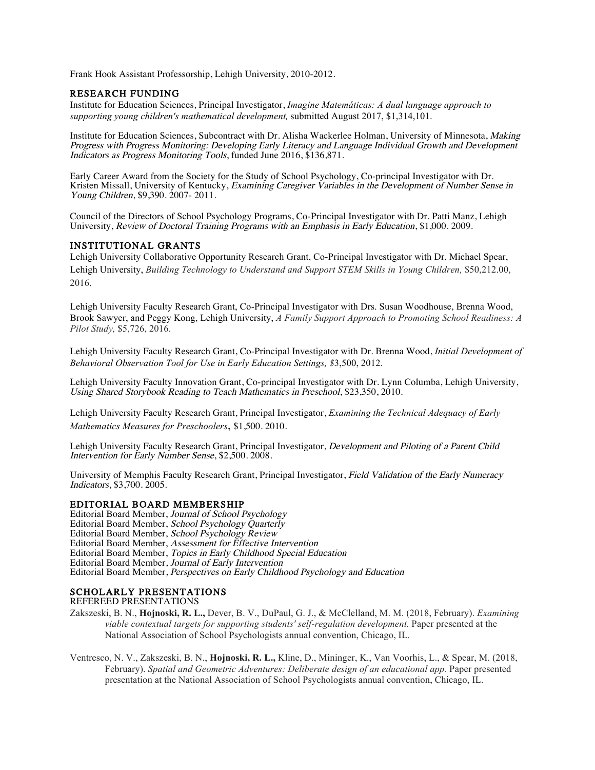Frank Hook Assistant Professorship, Lehigh University, 2010-2012.

# RESEARCH FUNDING

Institute for Education Sciences, Principal Investigator, *Imagine Matemáticas: A dual language approach to supporting young children's mathematical development,* submitted August 2017, \$1,314,101.

Institute for Education Sciences, Subcontract with Dr. Alisha Wackerlee Holman, University of Minnesota, Making Progress with Progress Monitoring: Developing Early Literacy and Language Individual Growth and Development Indicators as Progress Monitoring Tools, funded June 2016, \$136,871.

Early Career Award from the Society for the Study of School Psychology, Co-principal Investigator with Dr. Kristen Missall, University of Kentucky, Examining Caregiver Variables in the Development of Number Sense in Young Children, \$9,390. 2007-2011.

Council of the Directors of School Psychology Programs, Co-Principal Investigator with Dr. Patti Manz, Lehigh University, Review of Doctoral Training Programs with an Emphasis in Early Education, \$1,000. 2009.

# INSTITUTIONAL GRANTS

Lehigh University Collaborative Opportunity Research Grant, Co-Principal Investigator with Dr. Michael Spear, Lehigh University, *Building Technology to Understand and Support STEM Skills in Young Children,* \$50,212.00, 2016.

Lehigh University Faculty Research Grant, Co-Principal Investigator with Drs. Susan Woodhouse, Brenna Wood, Brook Sawyer, and Peggy Kong, Lehigh University, *A Family Support Approach to Promoting School Readiness: A Pilot Study,* \$5,726, 2016.

Lehigh University Faculty Research Grant, Co-Principal Investigator with Dr. Brenna Wood, *Initial Development of Behavioral Observation Tool for Use in Early Education Settings, \$*3,500, 2012.

Lehigh University Faculty Innovation Grant, Co-principal Investigator with Dr. Lynn Columba, Lehigh University, Using Shared Storybook Reading to Teach Mathematics in Preschool, \$23,350, 2010.

Lehigh University Faculty Research Grant, Principal Investigator, *Examining the Technical Adequacy of Early Mathematics Measures for Preschoolers*, \$1,500. 2010.

Lehigh University Faculty Research Grant, Principal Investigator, *Development and Piloting of a Parent Child* Intervention for Early Number Sense, \$2,500. 2008.

University of Memphis Faculty Research Grant, Principal Investigator, Field Validation of the Early Numeracy Indicators, \$3,700. 2005.

### EDITORIAL BOARD MEMBERSHIP

Editorial Board Member, Journal of School Psychology Editorial Board Member, School Psychology Quarterly Editorial Board Member, School Psychology Review Editorial Board Member, Assessment for Effective Intervention Editorial Board Member, Topics in Early Childhood Special Education Editorial Board Member, Journal of Early Intervention Editorial Board Member, Perspectives on Early Childhood Psychology and Education

### SCHOLARLY PRESENTATIONS

#### REFEREED PRESENTATIONS

- Zakszeski, B. N., **Hojnoski, R. L.,** Dever, B. V., DuPaul, G. J., & McClelland, M. M. (2018, February). *Examining viable contextual targets for supporting students' self-regulation development.* Paper presented at the National Association of School Psychologists annual convention, Chicago, IL.
- Ventresco, N. V., Zakszeski, B. N., **Hojnoski, R. L.,** Kline, D., Mininger, K., Van Voorhis, L., & Spear, M. (2018, February). *Spatial and Geometric Adventures: Deliberate design of an educational app.* Paper presented presentation at the National Association of School Psychologists annual convention, Chicago, IL.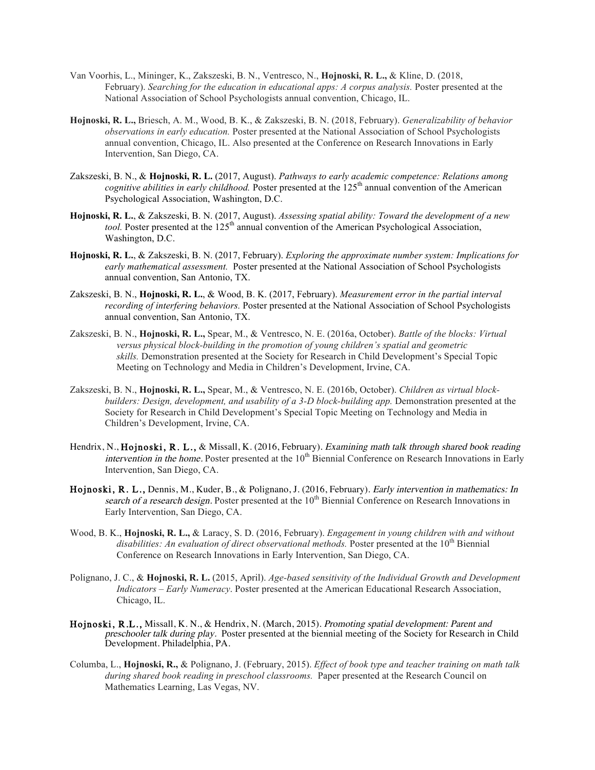- Van Voorhis, L., Mininger, K., Zakszeski, B. N., Ventresco, N., **Hojnoski, R. L.,** & Kline, D. (2018, February). *Searching for the education in educational apps: A corpus analysis.* Poster presented at the National Association of School Psychologists annual convention, Chicago, IL.
- **Hojnoski, R. L.,** Briesch, A. M., Wood, B. K., & Zakszeski, B. N. (2018, February). *Generalizability of behavior observations in early education.* Poster presented at the National Association of School Psychologists annual convention, Chicago, IL. Also presented at the Conference on Research Innovations in Early Intervention, San Diego, CA.
- Zakszeski, B. N., & **Hojnoski, R. L.** (2017, August). *Pathways to early academic competence: Relations among cognitive abilities in early childhood.* Poster presented at the 125<sup>th</sup> annual convention of the American Psychological Association, Washington, D.C.
- **Hojnoski, R. L.**, & Zakszeski, B. N. (2017, August). *Assessing spatial ability: Toward the development of a new tool.* Poster presented at the 125<sup>th</sup> annual convention of the American Psychological Association, Washington, D.C.
- **Hojnoski, R. L.**, & Zakszeski, B. N. (2017, February). *Exploring the approximate number system: Implications for early mathematical assessment.* Poster presented at the National Association of School Psychologists annual convention, San Antonio, TX.
- Zakszeski, B. N., **Hojnoski, R. L.**, & Wood, B. K. (2017, February). *Measurement error in the partial interval recording of interfering behaviors.* Poster presented at the National Association of School Psychologists annual convention, San Antonio, TX.
- Zakszeski, B. N., **Hojnoski, R. L.,** Spear, M., & Ventresco, N. E. (2016a, October). *Battle of the blocks: Virtual versus physical block-building in the promotion of young children's spatial and geometric skills.* Demonstration presented at the Society for Research in Child Development's Special Topic Meeting on Technology and Media in Children's Development, Irvine, CA.
- Zakszeski, B. N., **Hojnoski, R. L.,** Spear, M., & Ventresco, N. E. (2016b, October). *Children as virtual blockbuilders: Design, development, and usability of a 3-D block-building app.* Demonstration presented at the Society for Research in Child Development's Special Topic Meeting on Technology and Media in Children's Development, Irvine, CA.
- Hendrix, N., Hojnoski, R. L., & Missall, K. (2016, February). Examining math talk through shared book reading *intervention in the home.* Poster presented at the  $10<sup>th</sup>$  Biennial Conference on Research Innovations in Early Intervention, San Diego, CA.
- Hojnoski, R. L., Dennis, M., Kuder, B., & Polignano, J. (2016, February). Early intervention in mathematics: In search of a research design. Poster presented at the 10<sup>th</sup> Biennial Conference on Research Innovations in Early Intervention, San Diego, CA.
- Wood, B. K., **Hojnoski, R. L.,** & Laracy, S. D. (2016, February). *Engagement in young children with and without disabilities: An evaluation of direct observational methods.* Poster presented at the 10<sup>th</sup> Biennial Conference on Research Innovations in Early Intervention, San Diego, CA.
- Polignano, J. C., & **Hojnoski, R. L.** (2015, April). *Age-based sensitivity of the Individual Growth and Development Indicators – Early Numeracy*. Poster presented at the American Educational Research Association, Chicago, IL.
- Hojnoski, R.L., Missall, K. N., & Hendrix, N. (March, 2015). Promoting spatial development: Parent and preschooler talk during play. Poster presented at the biennial meeting of the Society for Research in Child Development. Philadelphia, PA.
- Columba, L., **Hojnoski, R.,** & Polignano, J. (February, 2015). *Effect of book type and teacher training on math talk during shared book reading in preschool classrooms.* Paper presented at the Research Council on Mathematics Learning, Las Vegas, NV.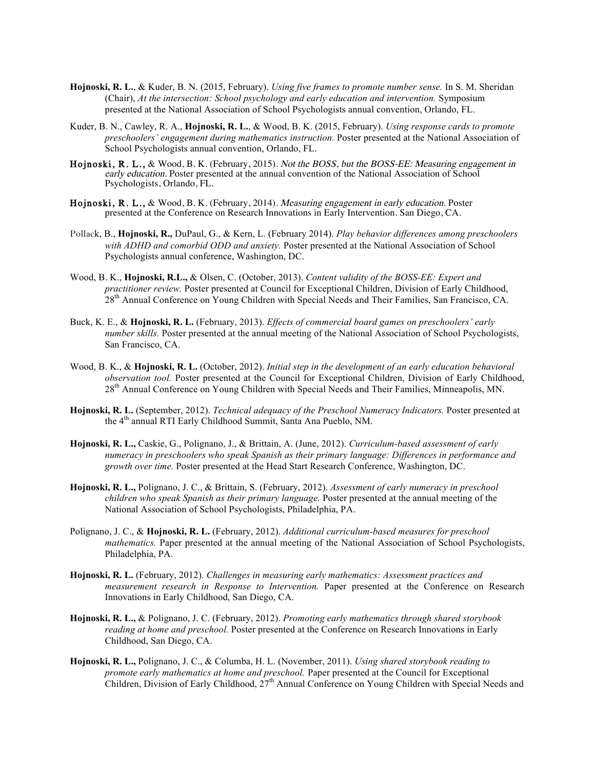- **Hojnoski, R. L.**, & Kuder, B. N. (2015, February). *Using five frames to promote number sense.* In S. M. Sheridan (Chair), *At the intersection: School psychology and early education and intervention.* Symposium presented at the National Association of School Psychologists annual convention, Orlando, FL.
- Kuder, B. N., Cawley, R. A., **Hojnoski, R. L.**, & Wood, B. K. (2015, February). *Using response cards to promote preschoolers' engagement during mathematics instruction.* Poster presented at the National Association of School Psychologists annual convention, Orlando, FL.
- Hojnoski, R. L., & Wood, B. K. (February, 2015). Not the BOSS, but the BOSS-EE: Measuring engagement in early education. Poster presented at the annual convention of the National Association of School Psychologists, Orlando, FL.
- Hojnoski, R. L., & Wood, B. K. (February, 2014). Measuring engagement in early education. Poster presented at the Conference on Research Innovations in Early Intervention. San Diego, CA.
- Pollack, B., **Hojnoski, R.,** DuPaul, G., & Kern, L. (February 2014). *Play behavior differences among preschoolers with ADHD and comorbid ODD and anxiety.* Poster presented at the National Association of School Psychologists annual conference, Washington, DC.
- Wood, B. K., **Hojnoski, R.L.,** & Olsen, C. (October, 2013). *Content validity of the BOSS-EE: Expert and practitioner review.* Poster presented at Council for Exceptional Children, Division of Early Childhood, 28<sup>th</sup> Annual Conference on Young Children with Special Needs and Their Families, San Francisco, CA.
- Buck, K. E., & **Hojnoski, R. L.** (February, 2013). *Effects of commercial board games on preschoolers' early number skills.* Poster presented at the annual meeting of the National Association of School Psychologists, San Francisco, CA.
- Wood, B. K., & **Hojnoski, R. L.** (October, 2012). *Initial step in the development of an early education behavioral observation tool.* Poster presented at the Council for Exceptional Children, Division of Early Childhood, 28<sup>th</sup> Annual Conference on Young Children with Special Needs and Their Families, Minneapolis, MN.
- **Hojnoski, R. L.** (September, 2012). *Technical adequacy of the Preschool Numeracy Indicators.* Poster presented at the 4th annual RTI Early Childhood Summit, Santa Ana Pueblo, NM.
- **Hojnoski, R. L.,** Caskie, G., Polignano, J., & Brittain, A. (June, 2012). *Curriculum-based assessment of early numeracy in preschoolers who speak Spanish as their primary language: Differences in performance and growth over time.* Poster presented at the Head Start Research Conference, Washington, DC.
- **Hojnoski, R. L.,** Polignano, J. C., & Brittain, S. (February, 2012). *Assessment of early numeracy in preschool children who speak Spanish as their primary language.* Poster presented at the annual meeting of the National Association of School Psychologists, Philadelphia, PA.
- Polignano, J. C., & **Hojnoski, R. L.** (February, 2012). *Additional curriculum-based measures for preschool mathematics.* Paper presented at the annual meeting of the National Association of School Psychologists, Philadelphia, PA.
- **Hojnoski, R. L.** (February, 2012). *Challenges in measuring early mathematics: Assessment practices and measurement research in Response to Intervention.* Paper presented at the Conference on Research Innovations in Early Childhood, San Diego, CA.
- **Hojnoski, R. L.,** & Polignano, J. C. (February, 2012). *Promoting early mathematics through shared storybook reading at home and preschool.* Poster presented at the Conference on Research Innovations in Early Childhood, San Diego, CA.
- **Hojnoski, R. L.,** Polignano, J. C., & Columba, H. L. (November, 2011). *Using shared storybook reading to promote early mathematics at home and preschool.* Paper presented at the Council for Exceptional Children, Division of Early Childhood, 27<sup>th</sup> Annual Conference on Young Children with Special Needs and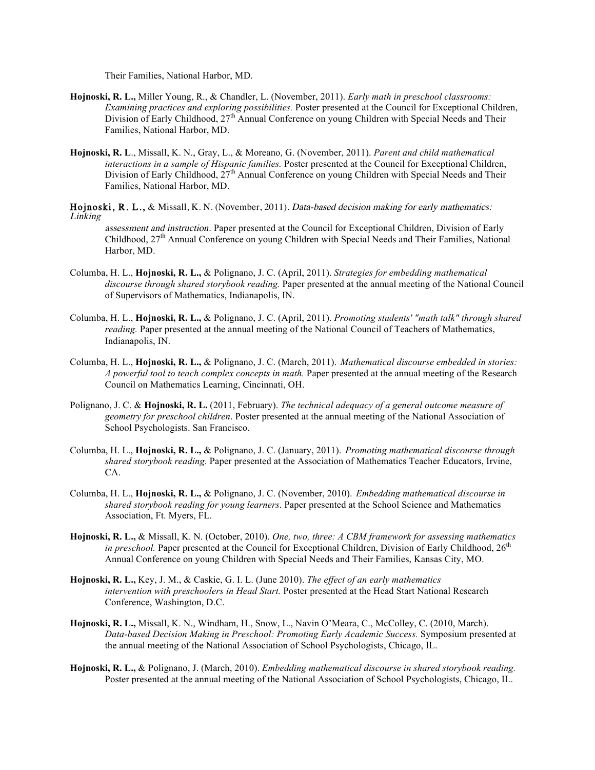Their Families, National Harbor, MD.

- **Hojnoski, R. L.,** Miller Young, R., & Chandler, L. (November, 2011). *Early math in preschool classrooms: Examining practices and exploring possibilities.* Poster presented at the Council for Exceptional Children, Division of Early Childhood, 27<sup>th</sup> Annual Conference on young Children with Special Needs and Their Families, National Harbor, MD.
- **Hojnoski, R. L**., Missall, K. N., Gray, L., & Moreano, G. (November, 2011). *Parent and child mathematical interactions in a sample of Hispanic families.* Poster presented at the Council for Exceptional Children, Division of Early Childhood,  $27<sup>th</sup>$  Annual Conference on young Children with Special Needs and Their Families, National Harbor, MD.

Hojnoski, R. L., & Missall, K. N. (November, 2011). Data-based decision making for early mathematics: Linking

assessment and instruction. Paper presented at the Council for Exceptional Children, Division of Early Childhood,  $27<sup>th</sup>$  Annual Conference on young Children with Special Needs and Their Families, National Harbor, MD.

- Columba, H. L., **Hojnoski, R. L.,** & Polignano, J. C. (April, 2011). *Strategies for embedding mathematical discourse through shared storybook reading.* Paper presented at the annual meeting of the National Council of Supervisors of Mathematics, Indianapolis, IN.
- Columba, H. L., **Hojnoski, R. L.,** & Polignano, J. C. (April, 2011). *Promoting students' "math talk" through shared reading.* Paper presented at the annual meeting of the National Council of Teachers of Mathematics, Indianapolis, IN.
- Columba, H. L., **Hojnoski, R. L.,** & Polignano, J. C. (March, 2011). *Mathematical discourse embedded in stories: A powerful tool to teach complex concepts in math.* Paper presented at the annual meeting of the Research Council on Mathematics Learning, Cincinnati, OH.
- Polignano, J. C. & **Hojnoski, R. L.** (2011, February). *The technical adequacy of a general outcome measure of geometry for preschool children*. Poster presented at the annual meeting of the National Association of School Psychologists. San Francisco.
- Columba, H. L., **Hojnoski, R. L.,** & Polignano, J. C. (January, 2011). *Promoting mathematical discourse through shared storybook reading.* Paper presented at the Association of Mathematics Teacher Educators, Irvine, CA.
- Columba, H. L., **Hojnoski, R. L.,** & Polignano, J. C. (November, 2010). *Embedding mathematical discourse in shared storybook reading for young learners*. Paper presented at the School Science and Mathematics Association, Ft. Myers, FL.
- **Hojnoski, R. L.,** & Missall, K. N. (October, 2010). *One, two, three: A CBM framework for assessing mathematics in preschool.* Paper presented at the Council for Exceptional Children, Division of Early Childhood, 26<sup>th</sup> Annual Conference on young Children with Special Needs and Their Families, Kansas City, MO.
- **Hojnoski, R. L.,** Key, J. M., & Caskie, G. I. L. (June 2010). *The effect of an early mathematics intervention with preschoolers in Head Start.* Poster presented at the Head Start National Research Conference, Washington, D.C.
- **Hojnoski, R. L.,** Missall, K. N., Windham, H., Snow, L., Navin O'Meara, C., McColley, C. (2010, March). *Data-based Decision Making in Preschool: Promoting Early Academic Success.* Symposium presented at the annual meeting of the National Association of School Psychologists, Chicago, IL.
- **Hojnoski, R. L.,** & Polignano, J. (March, 2010). *Embedding mathematical discourse in shared storybook reading.*  Poster presented at the annual meeting of the National Association of School Psychologists, Chicago, IL.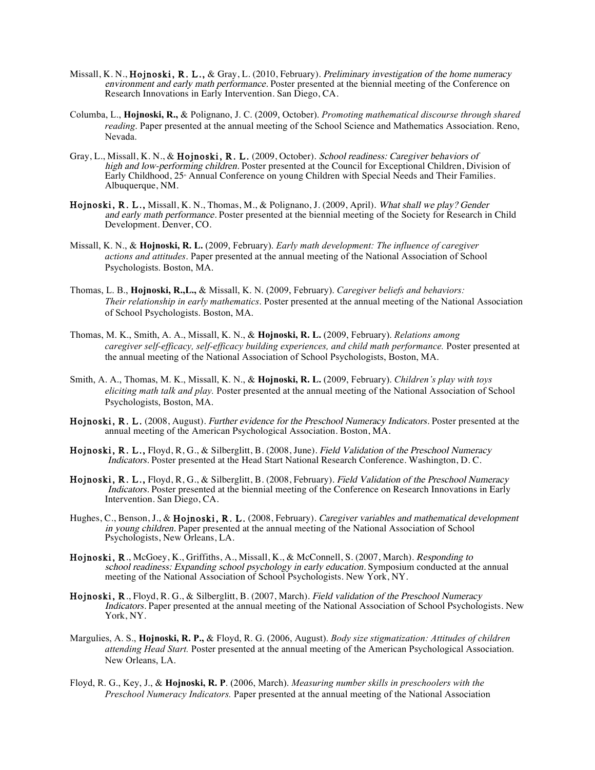- Missall, K. N., Hojnoski, R. L., & Gray, L. (2010, February). Preliminary investigation of the home numeracy environment and early math performance. Poster presented at the biennial meeting of the Conference on Research Innovations in Early Intervention. San Diego, CA.
- Columba, L., **Hojnoski, R.,** & Polignano, J. C. (2009, October). *Promoting mathematical discourse through shared reading*. Paper presented at the annual meeting of the School Science and Mathematics Association. Reno, Nevada.
- Gray, L., Missall, K. N., & Hojnoski, R. L. (2009, October). School readiness: Caregiver behaviors of high and low-performing children. Poster presented at the Council for Exceptional Children, Division of Early Childhood, 25<sup>*M*</sup> Annual Conference on young Children with Special Needs and Their Families. Albuquerque, NM.
- Hojnoski, R. L., Missall, K. N., Thomas, M., & Polignano, J. (2009, April). What shall we play? Gender and early math performance. Poster presented at the biennial meeting of the Society for Research in Child Development. Denver, CO.
- Missall, K. N., & **Hojnoski, R. L.** (2009, February). *Early math development: The influence of caregiver actions and attitudes*. Paper presented at the annual meeting of the National Association of School Psychologists. Boston, MA.
- Thomas, L. B., **Hojnoski, R.,L.,** & Missall, K. N. (2009, February). *Caregiver beliefs and behaviors: Their relationship in early mathematics*. Poster presented at the annual meeting of the National Association of School Psychologists. Boston, MA.
- Thomas, M. K., Smith, A. A., Missall, K. N., & **Hojnoski, R. L.** (2009, February). *Relations among caregiver self-efficacy, self-efficacy building experiences, and child math performance.* Poster presented at the annual meeting of the National Association of School Psychologists, Boston, MA.
- Smith, A. A., Thomas, M. K., Missall, K. N., & **Hojnoski, R. L.** (2009, February). *Children's play with toys eliciting math talk and play.* Poster presented at the annual meeting of the National Association of School Psychologists, Boston, MA.
- Hojnoski, R. L. (2008, August). Further evidence for the Preschool Numeracy Indicators. Poster presented at the annual meeting of the American Psychological Association. Boston, MA.
- Hojnoski, R. L., Floyd, R, G., & Silberglitt, B. (2008, June). Field Validation of the Preschool Numeracy Indicators. Poster presented at the Head Start National Research Conference. Washington, D. C.
- Hojnoski, R. L., Floyd, R, G., & Silberglitt, B. (2008, February). Field Validation of the Preschool Numeracy Indicators. Poster presented at the biennial meeting of the Conference on Research Innovations in Early Intervention. San Diego, CA.
- Hughes, C., Benson, J., & Hojnoski, R. L. (2008, February). Caregiver variables and mathematical development in young children. Paper presented at the annual meeting of the National Association of School Psychologists, New Orleans, LA.
- Hojnoski, R., McGoey, K., Griffiths, A., Missall, K., & McConnell, S. (2007, March). Responding to school readiness: Expanding school psychology in early education. Symposium conducted at the annual meeting of the National Association of School Psychologists. New York, NY.
- Hojnoski, R., Floyd, R. G., & Silberglitt, B. (2007, March). Field validation of the Preschool Numeracy Indicators. Paper presented at the annual meeting of the National Association of School Psychologists. New York, NY.
- Margulies, A. S., **Hojnoski, R. P.,** & Floyd, R. G. (2006, August). *Body size stigmatization: Attitudes of children attending Head Start.* Poster presented at the annual meeting of the American Psychological Association. New Orleans, LA.
- Floyd, R. G., Key, J., & **Hojnoski, R. P**. (2006, March). *Measuring number skills in preschoolers with the Preschool Numeracy Indicators.* Paper presented at the annual meeting of the National Association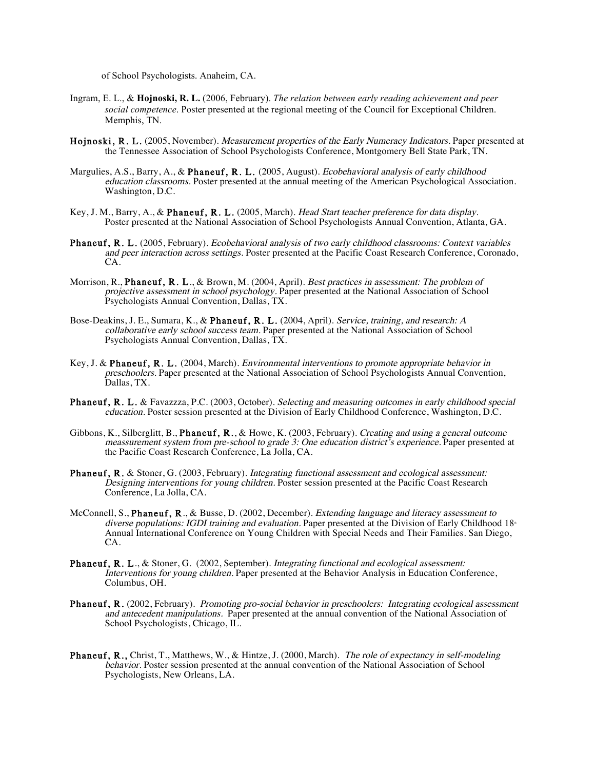of School Psychologists. Anaheim, CA.

- Ingram, E. L., & **Hojnoski, R. L.** (2006, February). *The relation between early reading achievement and peer social competence*. Poster presented at the regional meeting of the Council for Exceptional Children. Memphis, TN.
- Hojnoski, R. L. (2005, November). Measurement properties of the Early Numeracy Indicators. Paper presented at the Tennessee Association of School Psychologists Conference, Montgomery Bell State Park, TN.
- Margulies, A.S., Barry, A., & Phaneuf, R. L. (2005, August). Ecobehavioral analysis of early childhood education classrooms. Poster presented at the annual meeting of the American Psychological Association. Washington, D.C.
- Key, J. M., Barry, A., & Phaneuf, R. L. (2005, March). Head Start teacher preference for data display. Poster presented at the National Association of School Psychologists Annual Convention, Atlanta, GA.
- Phaneuf, R. L. (2005, February). Ecobehavioral analysis of two early childhood classrooms: Context variables and peer interaction across settings. Poster presented at the Pacific Coast Research Conference, Coronado, CA.
- Morrison, R., **Phaneuf, R. L.**, & Brown, M. (2004, April). *Best practices in assessment: The problem of* projective assessment in school psychology. Paper presented at the National Association of School Psychologists Annual Convention, Dallas, TX.
- Bose-Deakins, J. E., Sumara, K., & Phaneuf, R. L. (2004, April). Service, training, and research: A collaborative early school success team. Paper presented at the National Association of School Psychologists Annual Convention, Dallas, TX.
- Key, J. & Phaneuf, R. L. (2004, March). Environmental interventions to promote appropriate behavior in preschoolers. Paper presented at the National Association of School Psychologists Annual Convention, Dallas, TX.
- Phaneuf, R. L. & Favazzza, P.C. (2003, October). Selecting and measuring outcomes in early childhood special education. Poster session presented at the Division of Early Childhood Conference, Washington, D.C.
- Gibbons, K., Silberglitt, B., Phaneuf, R., & Howe, K. (2003, February). Creating and using a general outcome meassurement system from pre-school to grade 3: One education district's experience. Paper presented at the Pacific Coast Research Conference, La Jolla, CA.
- Phaneuf, R. & Stoner, G. (2003, February). Integrating functional assessment and ecological assessment: Designing interventions for young children. Poster session presented at the Pacific Coast Research Conference, La Jolla, CA.
- McConnell, S., Phaneuf, R., & Busse, D. (2002, December). Extending language and literacy assessment to diverse populations: IGDI training and evaluation. Paper presented at the Division of Early Childhood  $18<sup>a</sup>$ Annual International Conference on Young Children with Special Needs and Their Families. San Diego, CA.
- Phaneuf, R. L., & Stoner, G. (2002, September). Integrating functional and ecological assessment: Interventions for young children. Paper presented at the Behavior Analysis in Education Conference, Columbus, OH.
- Phaneuf, R. (2002, February). Promoting pro-social behavior in preschoolers: Integrating ecological assessment and antecedent manipulations. Paper presented at the annual convention of the National Association of School Psychologists, Chicago, IL.
- Phaneuf, R., Christ, T., Matthews, W., & Hintze, J. (2000, March). The role of expectancy in self-modeling behavior. Poster session presented at the annual convention of the National Association of School Psychologists, New Orleans, LA.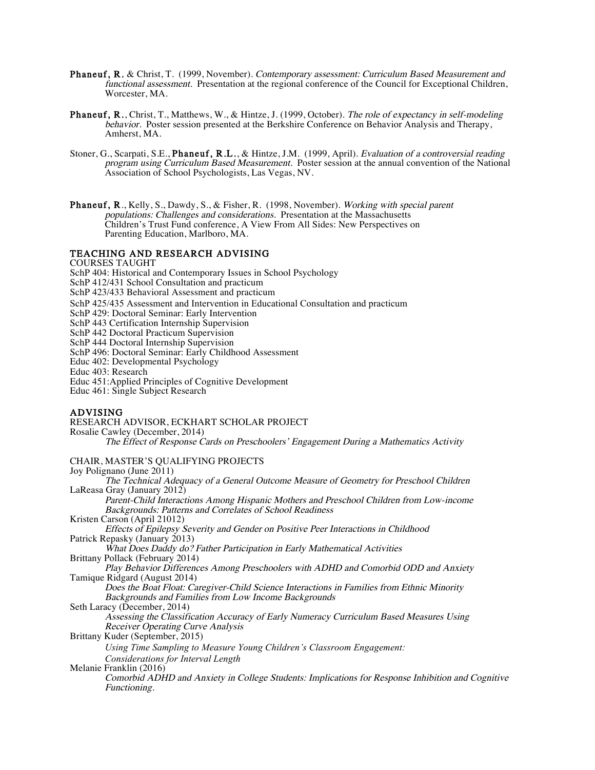- Phaneuf, R. & Christ, T. (1999, November). Contemporary assessment: Curriculum Based Measurement and functional assessment. Presentation at the regional conference of the Council for Exceptional Children, Worcester, MA.
- Phaneuf, R., Christ, T., Matthews, W., & Hintze, J. (1999, October). The role of expectancy in self-modeling behavior. Poster session presented at the Berkshire Conference on Behavior Analysis and Therapy, Amherst, MA.
- Stoner, G., Scarpati, S.E., Phaneuf, R.L., & Hintze, J.M. (1999, April). Evaluation of a controversial reading program using Curriculum Based Measurement. Poster session at the annual convention of the National Association of School Psychologists, Las Vegas, NV.
- **Phaneuf, R., Kelly, S., Dawdy, S., & Fisher, R. (1998, November). Working with special parent** populations: Challenges and considerations. Presentation at the Massachusetts Children's Trust Fund conference, A View From All Sides: New Perspectives on Parenting Education, Marlboro, MA.

### TEACHING AND RESEARCH ADVISING

COURSES TAUGHT

- SchP 404: Historical and Contemporary Issues in School Psychology
- SchP 412/431 School Consultation and practicum
- SchP 423/433 Behavioral Assessment and practicum
- SchP 425/435 Assessment and Intervention in Educational Consultation and practicum
- SchP 429: Doctoral Seminar: Early Intervention
- SchP 443 Certification Internship Supervision
- SchP 442 Doctoral Practicum Supervision
- SchP 444 Doctoral Internship Supervision
- SchP 496: Doctoral Seminar: Early Childhood Assessment
- Educ 402: Developmental Psychology
- Educ 403: Research
- Educ 451:Applied Principles of Cognitive Development
- Educ 461: Single Subject Research

# ADVISING

RESEARCH ADVISOR, ECKHART SCHOLAR PROJECT Rosalie Cawley (December, 2014) The Effect of Response Cards on Preschoolers' Engagement During a Mathematics Activity CHAIR, MASTER'S QUALIFYING PROJECTS Joy Polignano (June 2011) The Technical Adequacy of a General Outcome Measure of Geometry for Preschool Children LaReasa Gray (January 2012)

Parent-Child Interactions Among Hispanic Mothers and Preschool Children from Low-income Backgrounds: Patterns and Correlates of School Readiness

Kristen Carson (April 21012)

Effects of Epilepsy Severity and Gender on Positive Peer Interactions in Childhood Patrick Repasky (January 2013)

What Does Daddy do? Father Participation in Early Mathematical Activities Brittany Pollack (February 2014)

Play Behavior Differences Among Preschoolers with ADHD and Comorbid ODD and Anxiety Tamique Ridgard (August 2014)

Does the Boat Float: Caregiver-Child Science Interactions in Families from Ethnic Minority Backgrounds and Families from Low Income Backgrounds

Seth Laracy (December, 2014)

Assessing the Classification Accuracy of Early Numeracy Curriculum Based Measures Using Receiver Operating Curve Analysis

Brittany Kuder (September, 2015)

*Using Time Sampling to Measure Young Children's Classroom Engagement:* 

*Considerations for Interval Length*

Melanie Franklin (2016)

Comorbid ADHD and Anxiety in College Students: Implications for Response Inhibition and Cognitive Functioning.